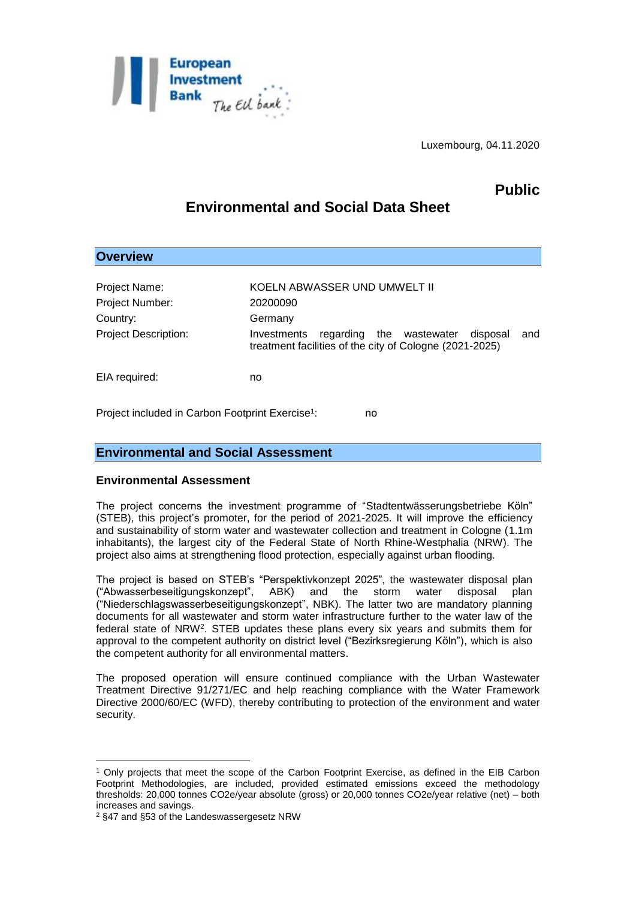

Luxembourg, 04.11.2020

# **Public**

# **Environmental and Social Data Sheet**

| <b>Overview</b>                         |                                                                                                                                  |
|-----------------------------------------|----------------------------------------------------------------------------------------------------------------------------------|
| Project Name:<br>Project Number:        | KOELN ABWASSER UND UMWELT II<br>20200090                                                                                         |
| Country:<br><b>Project Description:</b> | Germany<br>Investments<br>regarding the wastewater<br>and<br>disposal<br>treatment facilities of the city of Cologne (2021-2025) |
| EIA required:                           | no                                                                                                                               |

Project included in Carbon Footprint Exercise<sup>1</sup>: : no

## **Environmental and Social Assessment**

### **Environmental Assessment**

The project concerns the investment programme of "Stadtentwässerungsbetriebe Köln" (STEB), this project's promoter, for the period of 2021-2025. It will improve the efficiency and sustainability of storm water and wastewater collection and treatment in Cologne (1.1m inhabitants), the largest city of the Federal State of North Rhine-Westphalia (NRW). The project also aims at strengthening flood protection, especially against urban flooding.

The project is based on STEB's "Perspektivkonzept 2025", the wastewater disposal plan ("Abwasserbeseitigungskonzept", ABK) and the storm water disposal plan ("Niederschlagswasserbeseitigungskonzept", NBK). The latter two are mandatory planning documents for all wastewater and storm water infrastructure further to the water law of the federal state of NRW<sup>2</sup>. STEB updates these plans every six years and submits them for approval to the competent authority on district level ("Bezirksregierung Köln"), which is also the competent authority for all environmental matters.

The proposed operation will ensure continued compliance with the Urban Wastewater Treatment Directive 91/271/EC and help reaching compliance with the Water Framework Directive 2000/60/EC (WFD), thereby contributing to protection of the environment and water security.

<sup>1</sup> <sup>1</sup> Only projects that meet the scope of the Carbon Footprint Exercise, as defined in the EIB Carbon Footprint Methodologies, are included, provided estimated emissions exceed the methodology thresholds: 20,000 tonnes CO2e/year absolute (gross) or 20,000 tonnes CO2e/year relative (net) – both increases and savings.

<sup>2</sup> §47 and §53 of the Landeswassergesetz NRW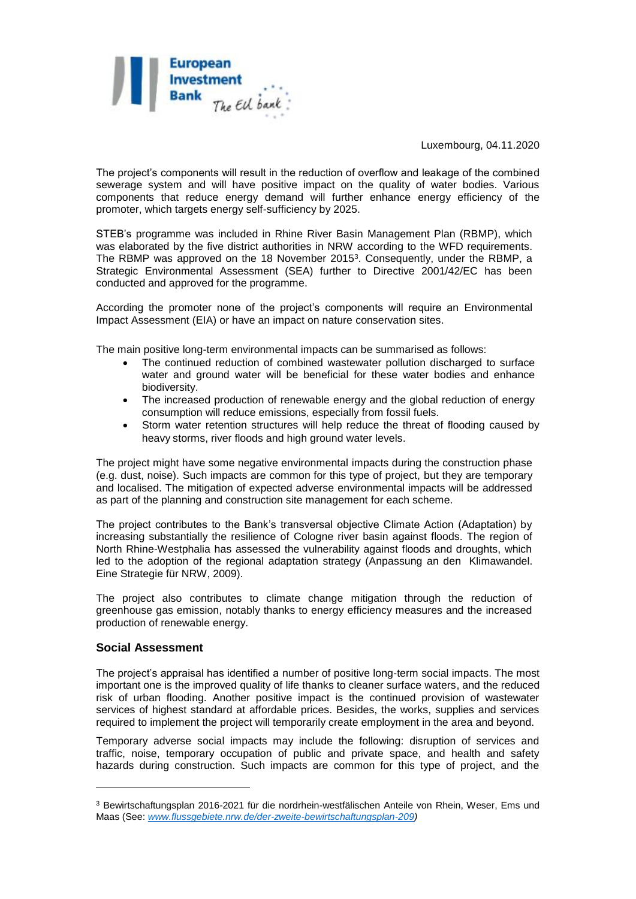

Luxembourg, 04.11.2020

The project's components will result in the reduction of overflow and leakage of the combined sewerage system and will have positive impact on the quality of water bodies. Various components that reduce energy demand will further enhance energy efficiency of the promoter, which targets energy self-sufficiency by 2025.

STEB's programme was included in Rhine River Basin Management Plan (RBMP), which was elaborated by the five district authorities in NRW according to the WFD requirements. The RBMP was approved on the 18 November 2015<sup>3</sup>. Consequently, under the RBMP, a Strategic Environmental Assessment (SEA) further to Directive 2001/42/EC has been conducted and approved for the programme.

According the promoter none of the project's components will require an Environmental Impact Assessment (EIA) or have an impact on nature conservation sites.

The main positive long-term environmental impacts can be summarised as follows:

- The continued reduction of combined wastewater pollution discharged to surface water and ground water will be beneficial for these water bodies and enhance biodiversity.
- The increased production of renewable energy and the global reduction of energy consumption will reduce emissions, especially from fossil fuels.
- Storm water retention structures will help reduce the threat of flooding caused by heavy storms, river floods and high ground water levels.

The project might have some negative environmental impacts during the construction phase (e.g. dust, noise). Such impacts are common for this type of project, but they are temporary and localised. The mitigation of expected adverse environmental impacts will be addressed as part of the planning and construction site management for each scheme.

The project contributes to the Bank's transversal objective Climate Action (Adaptation) by increasing substantially the resilience of Cologne river basin against floods. The region of North Rhine-Westphalia has assessed the vulnerability against floods and droughts, which led to the adoption of the regional adaptation strategy (Anpassung an den Klimawandel. Eine Strategie für NRW, 2009).

The project also contributes to climate change mitigation through the reduction of greenhouse gas emission, notably thanks to energy efficiency measures and the increased production of renewable energy.

### **Social Assessment**

1

The project's appraisal has identified a number of positive long-term social impacts. The most important one is the improved quality of life thanks to cleaner surface waters, and the reduced risk of urban flooding. Another positive impact is the continued provision of wastewater services of highest standard at affordable prices. Besides, the works, supplies and services required to implement the project will temporarily create employment in the area and beyond.

Temporary adverse social impacts may include the following: disruption of services and traffic, noise, temporary occupation of public and private space, and health and safety hazards during construction. Such impacts are common for this type of project, and the

<sup>3</sup> Bewirtschaftungsplan 2016-2021 für die nordrhein-westfälischen Anteile von Rhein, Weser, Ems und Maas (See: *[www.flussgebiete.nrw.de/der-zweite-bewirtschaftungsplan-209\)](http://www.flussgebiete.nrw.de/der-zweite-bewirtschaftungsplan-209)*